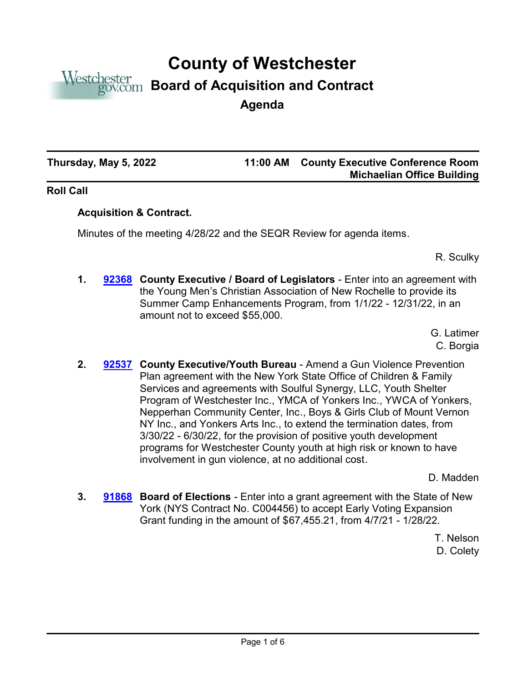

# **County of Westchester**

# **Board of Acquisition and Contract**

**Agenda**

**Thursday, May 5, 2022 11:00 AM**

## **County Executive Conference Room Michaelian Office Building**

### **Roll Call**

### **Acquisition & Contract.**

Minutes of the meeting 4/28/22 and the SEQR Review for agenda items.

R. Sculky

**1. [92368](http://westchestercountynyexec.legistar.com/gateway.aspx?m=l&id=/matter.aspx?key=3250)** County Executive / Board of Legislators - Enter into an agreement with the Young Men's Christian Association of New Rochelle to provide its Summer Camp Enhancements Program, from 1/1/22 - 12/31/22, in an amount not to exceed \$55,000.

> G. Latimer C. Borgia

2. **[92537](http://westchestercountynyexec.legistar.com/gateway.aspx?m=l&id=/matter.aspx?key=3251) County Executive/Youth Bureau** - Amend a Gun Violence Prevention Plan agreement with the New York State Office of Children & Family Services and agreements with Soulful Synergy, LLC, Youth Shelter Program of Westchester Inc., YMCA of Yonkers Inc., YWCA of Yonkers, Nepperhan Community Center, Inc., Boys & Girls Club of Mount Vernon NY Inc., and Yonkers Arts Inc., to extend the termination dates, from 3/30/22 - 6/30/22, for the provision of positive youth development programs for Westchester County youth at high risk or known to have involvement in gun violence, at no additional cost.

D. Madden

**3. [91868](http://westchestercountynyexec.legistar.com/gateway.aspx?m=l&id=/matter.aspx?key=3252)** Board of Elections - Enter into a grant agreement with the State of New York (NYS Contract No. C004456) to accept Early Voting Expansion Grant funding in the amount of \$67,455.21, from 4/7/21 - 1/28/22.

> T. Nelson D. Colety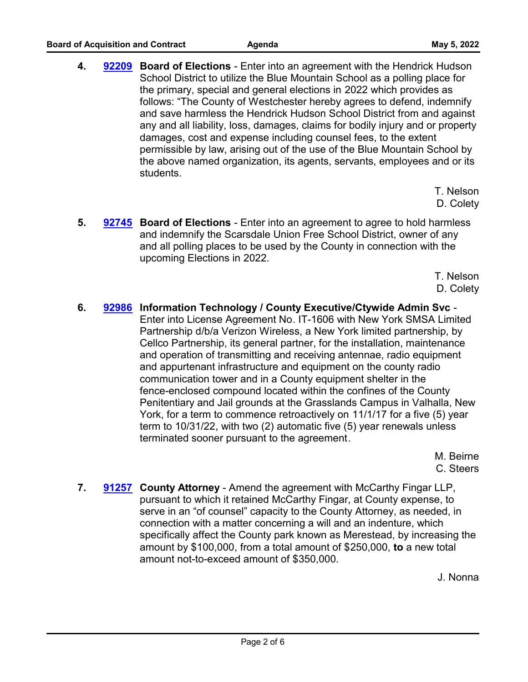**4. [92209](http://westchestercountynyexec.legistar.com/gateway.aspx?m=l&id=/matter.aspx?key=3253)** Board of Elections - Enter into an agreement with the Hendrick Hudson School District to utilize the Blue Mountain School as a polling place for the primary, special and general elections in 2022 which provides as follows: "The County of Westchester hereby agrees to defend, indemnify and save harmless the Hendrick Hudson School District from and against any and all liability, loss, damages, claims for bodily injury and or property damages, cost and expense including counsel fees, to the extent permissible by law, arising out of the use of the Blue Mountain School by the above named organization, its agents, servants, employees and or its students.

> T. Nelson D. Colety

**5. [92745](http://westchestercountynyexec.legistar.com/gateway.aspx?m=l&id=/matter.aspx?key=3254)** Board of Elections - Enter into an agreement to agree to hold harmless and indemnify the Scarsdale Union Free School District, owner of any and all polling places to be used by the County in connection with the upcoming Elections in 2022.

> T. Nelson D. Colety

**6. Information Technology / County Executive/Ctywide Admin Svc** - **[92986](http://westchestercountynyexec.legistar.com/gateway.aspx?m=l&id=/matter.aspx?key=3276)** Enter into License Agreement No. IT-1606 with New York SMSA Limited Partnership d/b/a Verizon Wireless, a New York limited partnership, by Cellco Partnership, its general partner, for the installation, maintenance and operation of transmitting and receiving antennae, radio equipment and appurtenant infrastructure and equipment on the county radio communication tower and in a County equipment shelter in the fence-enclosed compound located within the confines of the County Penitentiary and Jail grounds at the Grasslands Campus in Valhalla, New York, for a term to commence retroactively on 11/1/17 for a five (5) year term to 10/31/22, with two (2) automatic five (5) year renewals unless terminated sooner pursuant to the agreement.

> M. Beirne C. Steers

**7. [91257](http://westchestercountynyexec.legistar.com/gateway.aspx?m=l&id=/matter.aspx?key=3255)** County Attorney - Amend the agreement with McCarthy Fingar LLP, pursuant to which it retained McCarthy Fingar, at County expense, to serve in an "of counsel" capacity to the County Attorney, as needed, in connection with a matter concerning a will and an indenture, which specifically affect the County park known as Merestead, by increasing the amount by \$100,000, from a total amount of \$250,000, **to** a new total amount not-to-exceed amount of \$350,000.

J. Nonna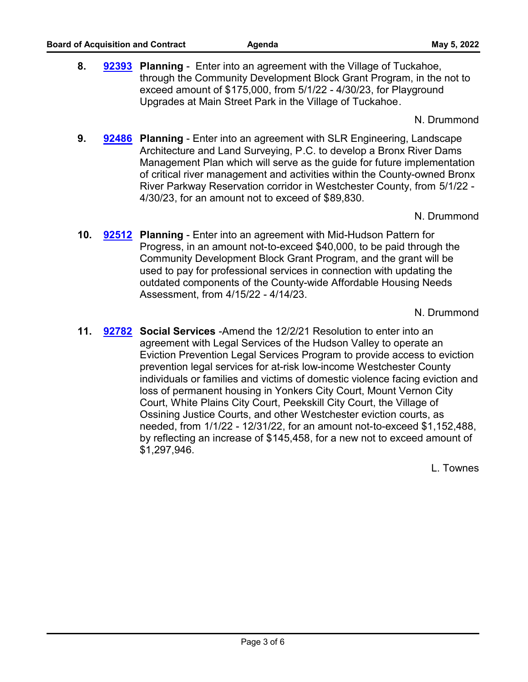**8. Planning** - Enter into an agreement with the Village of Tuckahoe, **[92393](http://westchestercountynyexec.legistar.com/gateway.aspx?m=l&id=/matter.aspx?key=3256)** through the Community Development Block Grant Program, in the not to exceed amount of \$175,000, from 5/1/22 - 4/30/23, for Playground Upgrades at Main Street Park in the Village of Tuckahoe.

N. Drummond

**9. [92486](http://westchestercountynyexec.legistar.com/gateway.aspx?m=l&id=/matter.aspx?key=3257)** Planning - Enter into an agreement with SLR Engineering, Landscape Architecture and Land Surveying, P.C. to develop a Bronx River Dams Management Plan which will serve as the guide for future implementation of critical river management and activities within the County-owned Bronx River Parkway Reservation corridor in Westchester County, from 5/1/22 - 4/30/23, for an amount not to exceed of \$89,830.

N. Drummond

**10. [92512](http://westchestercountynyexec.legistar.com/gateway.aspx?m=l&id=/matter.aspx?key=3258) Planning** - Enter into an agreement with Mid-Hudson Pattern for Progress, in an amount not-to-exceed \$40,000, to be paid through the Community Development Block Grant Program, and the grant will be used to pay for professional services in connection with updating the outdated components of the County-wide Affordable Housing Needs Assessment, from 4/15/22 - 4/14/23.

N. Drummond

**11. [92782](http://westchestercountynyexec.legistar.com/gateway.aspx?m=l&id=/matter.aspx?key=3260)** Social Services -Amend the 12/2/21 Resolution to enter into an agreement with Legal Services of the Hudson Valley to operate an Eviction Prevention Legal Services Program to provide access to eviction prevention legal services for at-risk low-income Westchester County individuals or families and victims of domestic violence facing eviction and loss of permanent housing in Yonkers City Court, Mount Vernon City Court, White Plains City Court, Peekskill City Court, the Village of Ossining Justice Courts, and other Westchester eviction courts, as needed, from 1/1/22 - 12/31/22, for an amount not-to-exceed \$1,152,488, by reflecting an increase of \$145,458, for a new not to exceed amount of \$1,297,946.

L. Townes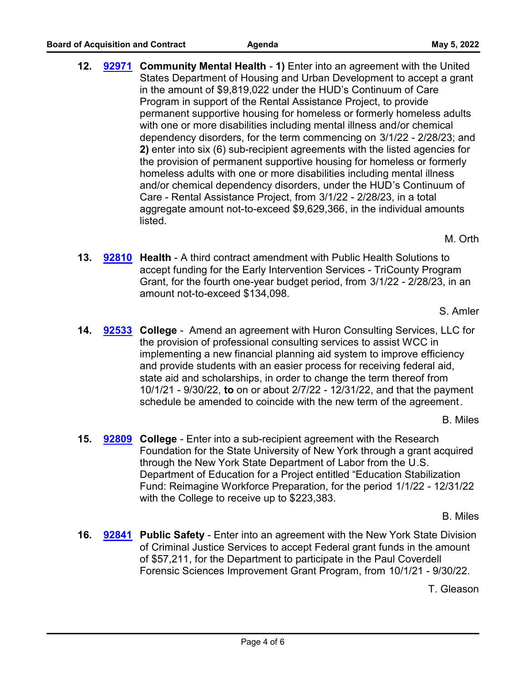**12. [92971](http://westchestercountynyexec.legistar.com/gateway.aspx?m=l&id=/matter.aspx?key=3273)** Community Mental Health - 1) Enter into an agreement with the United States Department of Housing and Urban Development to accept a grant in the amount of \$9,819,022 under the HUD's Continuum of Care Program in support of the Rental Assistance Project, to provide permanent supportive housing for homeless or formerly homeless adults with one or more disabilities including mental illness and/or chemical dependency disorders, for the term commencing on 3/1/22 - 2/28/23; and **2)** enter into six (6) sub-recipient agreements with the listed agencies for the provision of permanent supportive housing for homeless or formerly homeless adults with one or more disabilities including mental illness and/or chemical dependency disorders, under the HUD's Continuum of Care - Rental Assistance Project, from 3/1/22 - 2/28/23, in a total aggregate amount not-to-exceed \$9,629,366, in the individual amounts listed.

M. Orth

**13. [92810](http://westchestercountynyexec.legistar.com/gateway.aspx?m=l&id=/matter.aspx?key=3261)** Health - A third contract amendment with Public Health Solutions to accept funding for the Early Intervention Services - TriCounty Program Grant, for the fourth one-year budget period, from 3/1/22 - 2/28/23, in an amount not-to-exceed \$134,098.

S. Amler

**14. [92533](http://westchestercountynyexec.legistar.com/gateway.aspx?m=l&id=/matter.aspx?key=3262)** College - Amend an agreement with Huron Consulting Services, LLC for the provision of professional consulting services to assist WCC in implementing a new financial planning aid system to improve efficiency and provide students with an easier process for receiving federal aid, state aid and scholarships, in order to change the term thereof from 10/1/21 - 9/30/22, **to** on or about 2/7/22 - 12/31/22, and that the payment schedule be amended to coincide with the new term of the agreement.

B. Miles

**15. [92809](http://westchestercountynyexec.legistar.com/gateway.aspx?m=l&id=/matter.aspx?key=3263)** College - Enter into a sub-recipient agreement with the Research Foundation for the State University of New York through a grant acquired through the New York State Department of Labor from the U.S. Department of Education for a Project entitled "Education Stabilization Fund: Reimagine Workforce Preparation, for the period 1/1/22 - 12/31/22 with the College to receive up to \$223,383.

B. Miles

**16. [92841](http://westchestercountynyexec.legistar.com/gateway.aspx?m=l&id=/matter.aspx?key=3264)** Public Safety - Enter into an agreement with the New York State Division of Criminal Justice Services to accept Federal grant funds in the amount of \$57,211, for the Department to participate in the Paul Coverdell Forensic Sciences Improvement Grant Program, from 10/1/21 - 9/30/22.

T. Gleason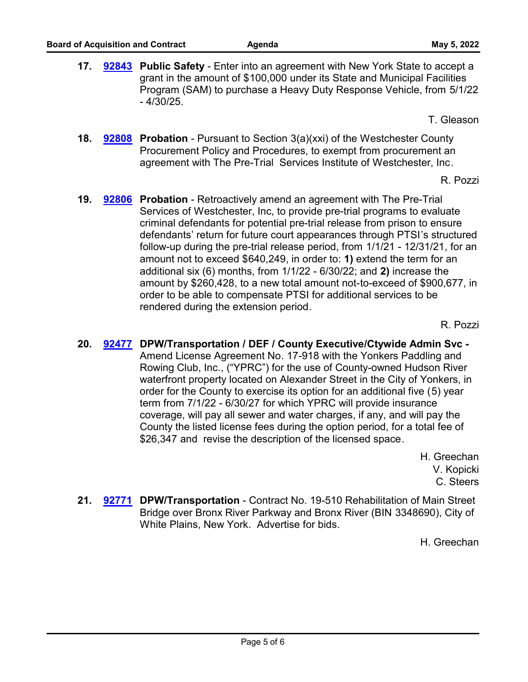**17. [92843](http://westchestercountynyexec.legistar.com/gateway.aspx?m=l&id=/matter.aspx?key=3265)** Public Safety - Enter into an agreement with New York State to accept a grant in the amount of \$100,000 under its State and Municipal Facilities Program (SAM) to purchase a Heavy Duty Response Vehicle, from 5/1/22 - 4/30/25.

T. Gleason

**18. [92808](http://westchestercountynyexec.legistar.com/gateway.aspx?m=l&id=/matter.aspx?key=3267)** Probation - Pursuant to Section 3(a)(xxi) of the Westchester County Procurement Policy and Procedures, to exempt from procurement an agreement with The Pre-Trial Services Institute of Westchester, Inc.

R. Pozzi

**19. [92806](http://westchestercountynyexec.legistar.com/gateway.aspx?m=l&id=/matter.aspx?key=3266) Probation** - Retroactively amend an agreement with The Pre-Trial Services of Westchester, Inc, to provide pre-trial programs to evaluate criminal defendants for potential pre-trial release from prison to ensure defendants' return for future court appearances through PTSI's structured follow-up during the pre-trial release period, from 1/1/21 - 12/31/21, for an amount not to exceed \$640,249, in order to: **1)** extend the term for an additional six (6) months, from 1/1/22 - 6/30/22; and **2)** increase the amount by \$260,428, to a new total amount not-to-exceed of \$900,677, in order to be able to compensate PTSI for additional services to be rendered during the extension period.

R. Pozzi

**20. DPW/Transportation / DEF / County Executive/Ctywide Admin Svc - [92477](http://westchestercountynyexec.legistar.com/gateway.aspx?m=l&id=/matter.aspx?key=3268)** Amend License Agreement No. 17-918 with the Yonkers Paddling and Rowing Club, Inc., ("YPRC") for the use of County-owned Hudson River waterfront property located on Alexander Street in the City of Yonkers, in order for the County to exercise its option for an additional five (5) year term from 7/1/22 - 6/30/27 for which YPRC will provide insurance coverage, will pay all sewer and water charges, if any, and will pay the County the listed license fees during the option period, for a total fee of \$26,347 and revise the description of the licensed space.

> H. Greechan V. Kopicki C. Steers

21. [92771](http://westchestercountynyexec.legistar.com/gateway.aspx?m=l&id=/matter.aspx?key=3269) DPW/Transportation - Contract No. 19-510 Rehabilitation of Main Street Bridge over Bronx River Parkway and Bronx River (BIN 3348690), City of White Plains, New York. Advertise for bids.

H. Greechan